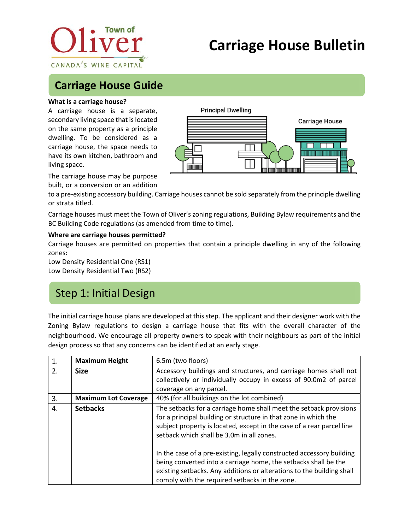

# **Carriage House Bulletin**

## **Carriage House Guide**

#### **What is a carriage house?**

A carriage house is a separate, secondary living space that is located on the same property as a principle dwelling. To be considered as a carriage house, the space needs to have its own kitchen, bathroom and living space.



The carriage house may be purpose built, or a conversion or an addition

to a pre-existing accessory building. Carriage houses cannot be sold separately from the principle dwelling or strata titled.

Carriage houses must meet the Town of Oliver's zoning regulations, Building Bylaw requirements and the BC Building Code regulations (as amended from time to time).

#### **Where are carriage houses permitted?**

Carriage houses are permitted on properties that contain a principle dwelling in any of the following zones:

Low Density Residential One (RS1) Low Density Residential Two (RS2)

# Step 1: Initial Design

The initial carriage house plans are developed at this step. The applicant and their designer work with the Zoning Bylaw regulations to design a carriage house that fits with the overall character of the neighbourhood. We encourage all property owners to speak with their neighbours as part of the initial design process so that any concerns can be identified at an early stage.

| 1. | <b>Maximum Height</b>       | 6.5m (two floors)                                                                                                                                                                                                                                                   |
|----|-----------------------------|---------------------------------------------------------------------------------------------------------------------------------------------------------------------------------------------------------------------------------------------------------------------|
| 2. | <b>Size</b>                 | Accessory buildings and structures, and carriage homes shall not                                                                                                                                                                                                    |
|    |                             | collectively or individually occupy in excess of 90.0m2 of parcel                                                                                                                                                                                                   |
|    |                             | coverage on any parcel.                                                                                                                                                                                                                                             |
| 3. | <b>Maximum Lot Coverage</b> | 40% (for all buildings on the lot combined)                                                                                                                                                                                                                         |
| 4. | <b>Setbacks</b>             | The setbacks for a carriage home shall meet the setback provisions<br>for a principal building or structure in that zone in which the<br>subject property is located, except in the case of a rear parcel line<br>setback which shall be 3.0m in all zones.         |
|    |                             | In the case of a pre-existing, legally constructed accessory building<br>being converted into a carriage home, the setbacks shall be the<br>existing setbacks. Any additions or alterations to the building shall<br>comply with the required setbacks in the zone. |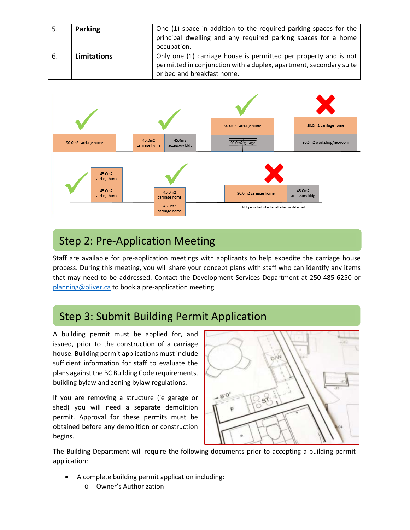| -5. | <b>Parking</b> | One (1) space in addition to the required parking spaces for the<br>principal dwelling and any required parking spaces for a home<br>occupation.                     |
|-----|----------------|----------------------------------------------------------------------------------------------------------------------------------------------------------------------|
| -6. | Limitations    | Only one (1) carriage house is permitted per property and is not<br>permitted in conjunction with a duplex, apartment, secondary suite<br>or bed and breakfast home. |



# Step 2: Pre-Application Meeting

Staff are available for pre-application meetings with applicants to help expedite the carriage house process. During this meeting, you will share your concept plans with staff who can identify any items that may need to be addressed. Contact the Development Services Department at 250-485-6250 or [planning@oliver.ca](mailto:planning@oliver.ca) to book a pre-application meeting.

# Step 3: Submit Building Permit Application

A building permit must be applied for, and issued, prior to the construction of a carriage house. Building permit applications must include sufficient information for staff to evaluate the plans against the BC Building Code requirements, building bylaw and zoning bylaw regulations.

If you are removing a structure (ie garage or shed) you will need a separate demolition permit. Approval for these permits must be obtained before any demolition or construction begins.



The Building Department will require the following documents prior to accepting a building permit application:

- A complete building permit application including:
	- o Owner's Authorization